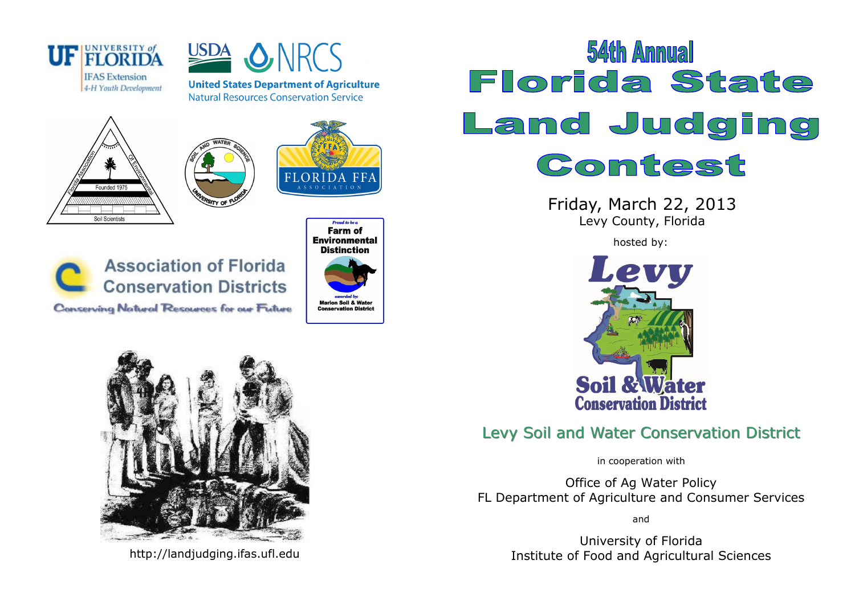



**United States Department of Agriculture Natural Resources Conservation Service** 









**Proud to be a** Farm of **Environmental Distinction Marion Soil & Water Conservation District** 



http://landjudging.ifas.ufl.edu

## **54th Annual Florida State** Land Judging Contest

Friday, March 22, 2013 Levy County, Florida

hosted by:



## Levy Soil and Water Conservation District

in cooperation with

Office of Ag Water Policy FL Department of Agriculture and Consumer Services

and

University of Florida Institute of Food and Agricultural Sciences